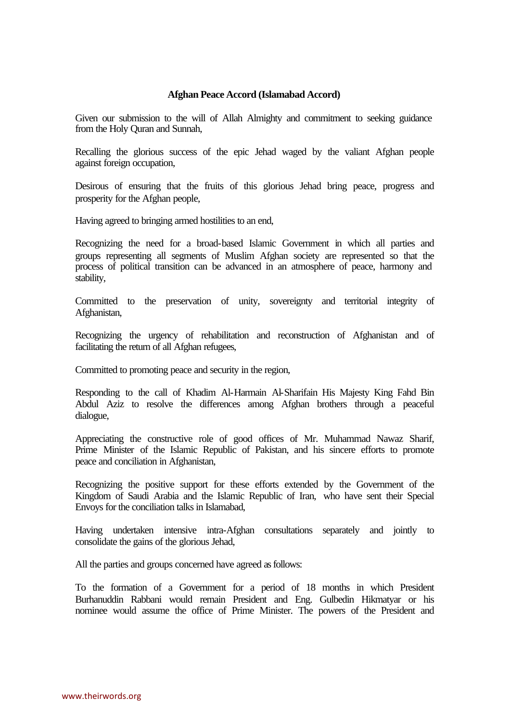## **Afghan Peace Accord (Islamabad Accord)**

Given our submission to the will of Allah Almighty and commitment to seeking guidance from the Holy Quran and Sunnah,

Recalling the glorious success of the epic Jehad waged by the valiant Afghan people against foreign occupation,

Desirous of ensuring that the fruits of this glorious Jehad bring peace, progress and prosperity for the Afghan people,

Having agreed to bringing armed hostilities to an end,

Recognizing the need for a broad-based Islamic Government in which all parties and groups representing all segments of Muslim Afghan society are represented so that the process of political transition can be advanced in an atmosphere of peace, harmony and stability,

Committed to the preservation of unity, sovereignty and territorial integrity of Afghanistan,

Recognizing the urgency of rehabilitation and reconstruction of Afghanistan and of facilitating the return of all Afghan refugees,

Committed to promoting peace and security in the region,

Responding to the call of Khadim Al-Harmain Al-Sharifain His Majesty King Fahd Bin Abdul Aziz to resolve the differences among Afghan brothers through a peaceful dialogue,

Appreciating the constructive role of good offices of Mr. Muhammad Nawaz Sharif, Prime Minister of the Islamic Republic of Pakistan, and his sincere efforts to promote peace and conciliation in Afghanistan,

Recognizing the positive support for these efforts extended by the Government of the Kingdom of Saudi Arabia and the Islamic Republic of Iran, who have sent their Special Envoys for the conciliation talks in Islamabad,

Having undertaken intensive intra-Afghan consultations separately and jointly to consolidate the gains of the glorious Jehad,

All the parties and groups concerned have agreed as follows:

To the formation of a Government for a period of 18 months in which President Burhanuddin Rabbani would remain President and Eng. Gulbedin Hikmatyar or his nominee would assume the office of Prime Minister. The powers of the President and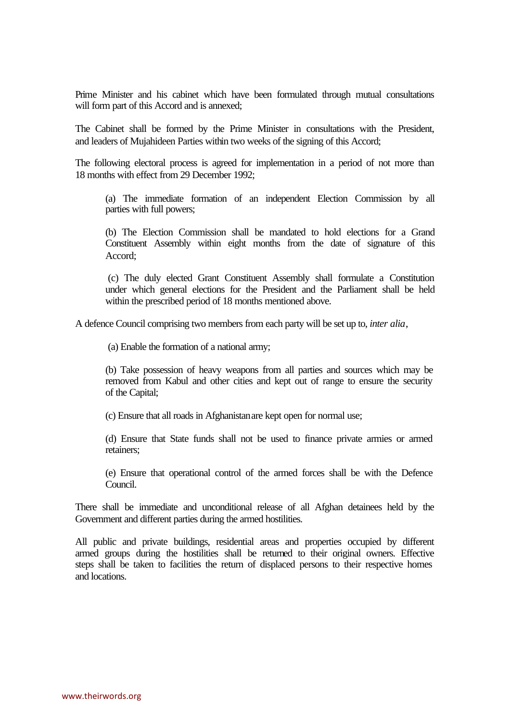Prime Minister and his cabinet which have been formulated through mutual consultations will form part of this Accord and is annexed;

The Cabinet shall be formed by the Prime Minister in consultations with the President, and leaders of Mujahideen Parties within two weeks of the signing of this Accord;

The following electoral process is agreed for implementation in a period of not more than 18 months with effect from 29 December 1992;

(a) The immediate formation of an independent Election Commission by all parties with full powers;

(b) The Election Commission shall be mandated to hold elections for a Grand Constituent Assembly within eight months from the date of signature of this Accord;

 (c) The duly elected Grant Constituent Assembly shall formulate a Constitution under which general elections for the President and the Parliament shall be held within the prescribed period of 18 months mentioned above.

A defence Council comprising two members from each party will be set up to, *inter alia*,

(a) Enable the formation of a national army;

(b) Take possession of heavy weapons from all parties and sources which may be removed from Kabul and other cities and kept out of range to ensure the security of the Capital;

(c) Ensure that all roads in Afghanistan are kept open for normal use;

(d) Ensure that State funds shall not be used to finance private armies or armed retainers;

(e) Ensure that operational control of the armed forces shall be with the Defence Council.

There shall be immediate and unconditional release of all Afghan detainees held by the Government and different parties during the armed hostilities.

All public and private buildings, residential areas and properties occupied by different armed groups during the hostilities shall be returned to their original owners. Effective steps shall be taken to facilities the return of displaced persons to their respective homes and locations.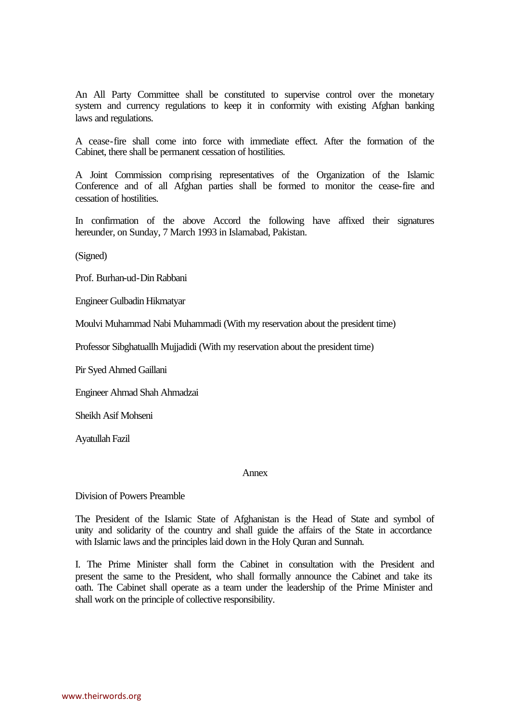An All Party Committee shall be constituted to supervise control over the monetary system and currency regulations to keep it in conformity with existing Afghan banking laws and regulations.

A cease-fire shall come into force with immediate effect. After the formation of the Cabinet, there shall be permanent cessation of hostilities.

A Joint Commission comprising representatives of the Organization of the Islamic Conference and of all Afghan parties shall be formed to monitor the cease-fire and cessation of hostilities.

In confirmation of the above Accord the following have affixed their signatures hereunder, on Sunday, 7 March 1993 in Islamabad, Pakistan.

(Signed)

Prof. Burhan-ud-Din Rabbani

Engineer Gulbadin Hikmatyar

Moulvi Muhammad Nabi Muhammadi (With my reservation about the president time)

Professor Sibghatuallh Mujjadidi (With my reservation about the president time)

Pir Syed Ahmed Gaillani

Engineer Ahmad Shah Ahmadzai

Sheikh Asif Mohseni

Ayatullah Fazil

Annex

Division of Powers Preamble

The President of the Islamic State of Afghanistan is the Head of State and symbol of unity and solidarity of the country and shall guide the affairs of the State in accordance with Islamic laws and the principles laid down in the Holy Quran and Sunnah.

I. The Prime Minister shall form the Cabinet in consultation with the President and present the same to the President, who shall formally announce the Cabinet and take its oath. The Cabinet shall operate as a team under the leadership of the Prime Minister and shall work on the principle of collective responsibility.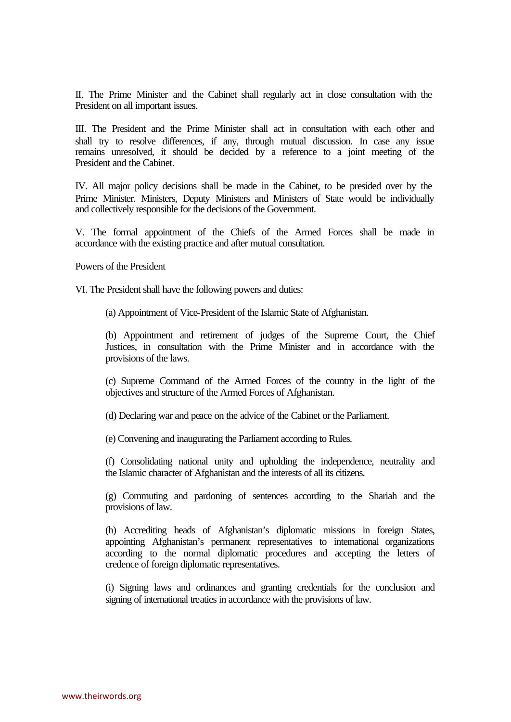II. The Prime Minister and the Cabinet shall regularly act in close consultation with the President on all important issues.

III. The President and the Prime Minister shall act in consultation with each other and shall try to resolve differences, if any, through mutual discussion. In case any issue remains unresolved, it should be decided by a reference to a joint meeting of the President and the Cabinet.

IV. All major policy decisions shall be made in the Cabinet, to be presided over by the Prime Minister. Ministers, Deputy Ministers and Ministers of State would be individually and collectively responsible for the decisions of the Government.

V. The formal appointment of the Chiefs of the Armed Forces shall be made in accordance with the existing practice and after mutual consultation.

Powers of the President

VI. The President shall have the following powers and duties:

(a) Appointment of Vice-President of the Islamic State of Afghanistan.

(b) Appointment and retirement of judges of the Supreme Court, the Chief Justices, in consultation with the Prime Minister and in accordance with the provisions of the laws.

(c) Supreme Command of the Armed Forces of the country in the light of the objectives and structure of the Armed Forces of Afghanistan.

(d) Declaring war and peace on the advice of the Cabinet or the Parliament.

(e) Convening and inaugurating the Parliament according to Rules.

(f) Consolidating national unity and upholding the independence, neutrality and the Islamic character of Afghanistan and the interests of all its citizens.

(g) Commuting and pardoning of sentences according to the Shariah and the provisions of law.

(h) Accrediting heads of Afghanistan's diplomatic missions in foreign States, appointing Afghanistan's permanent representatives to international organizations according to the normal diplomatic procedures and accepting the letters of credence of foreign diplomatic representatives.

(i) Signing laws and ordinances and granting credentials for the conclusion and signing of international treaties in accordance with the provisions of law.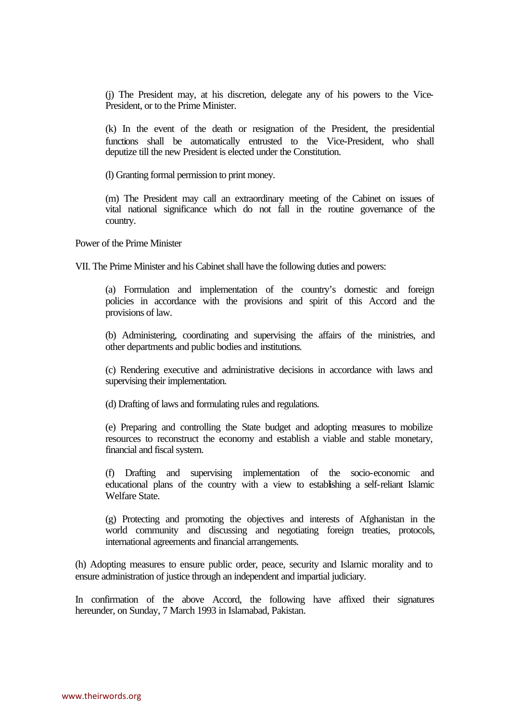(j) The President may, at his discretion, delegate any of his powers to the Vice-President, or to the Prime Minister.

(k) In the event of the death or resignation of the President, the presidential functions shall be automatically entrusted to the Vice-President, who shall deputize till the new President is elected under the Constitution.

(l) Granting formal permission to print money.

(m) The President may call an extraordinary meeting of the Cabinet on issues of vital national significance which do not fall in the routine governance of the country.

Power of the Prime Minister

VII. The Prime Minister and his Cabinet shall have the following duties and powers:

(a) Formulation and implementation of the country's domestic and foreign policies in accordance with the provisions and spirit of this Accord and the provisions of law.

(b) Administering, coordinating and supervising the affairs of the ministries, and other departments and public bodies and institutions.

(c) Rendering executive and administrative decisions in accordance with laws and supervising their implementation.

(d) Drafting of laws and formulating rules and regulations.

(e) Preparing and controlling the State budget and adopting measures to mobilize resources to reconstruct the economy and establish a viable and stable monetary, financial and fiscal system.

(f) Drafting and supervising implementation of the socio-economic and educational plans of the country with a view to establishing a self-reliant Islamic Welfare State.

(g) Protecting and promoting the objectives and interests of Afghanistan in the world community and discussing and negotiating foreign treaties, protocols, international agreements and financial arrangements.

(h) Adopting measures to ensure public order, peace, security and Islamic morality and to ensure administration of justice through an independent and impartial judiciary.

In confirmation of the above Accord, the following have affixed their signatures hereunder, on Sunday, 7 March 1993 in Islamabad, Pakistan.